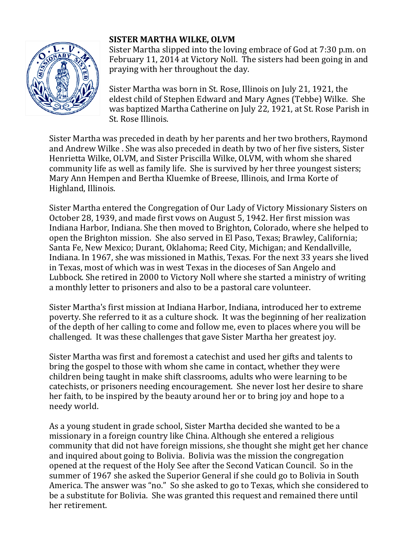

## **SISTER MARTHA WILKE, OLVM**

Sister Martha slipped into the loving embrace of God at 7:30 p.m. on February 11, 2014 at Victory Noll. The sisters had been going in and praying with her throughout the day.

Sister Martha was born in St. Rose, Illinois on July 21, 1921, the eldest child of Stephen Edward and Mary Agnes (Tebbe) Wilke. She was baptized Martha Catherine on July 22, 1921, at St. Rose Parish in St. Rose Illinois.

Sister Martha was preceded in death by her parents and her two brothers, Raymond and Andrew Wilke . She was also preceded in death by two of her five sisters, Sister Henrietta Wilke, OLVM, and Sister Priscilla Wilke, OLVM, with whom she shared community life as well as family life. She is survived by her three youngest sisters; Mary Ann Hempen and Bertha Kluemke of Breese, Illinois, and Irma Korte of Highland, Illinois.

Sister Martha entered the Congregation of Our Lady of Victory Missionary Sisters on October 28, 1939, and made first vows on August 5, 1942. Her first mission was Indiana Harbor, Indiana. She then moved to Brighton, Colorado, where she helped to open the Brighton mission. She also served in El Paso, Texas; Brawley, California; Santa Fe, New Mexico; Durant, Oklahoma; Reed City, Michigan; and Kendallville, Indiana. In 1967, she was missioned in Mathis, Texas. For the next 33 years she lived in Texas, most of which was in west Texas in the dioceses of San Angelo and Lubbock. She retired in 2000 to Victory Noll where she started a ministry of writing a monthly letter to prisoners and also to be a pastoral care volunteer.

Sister Martha's first mission at Indiana Harbor, Indiana, introduced her to extreme poverty. She referred to it as a culture shock. It was the beginning of her realization of the depth of her calling to come and follow me, even to places where you will be challenged. It was these challenges that gave Sister Martha her greatest joy.

Sister Martha was first and foremost a catechist and used her gifts and talents to bring the gospel to those with whom she came in contact, whether they were children being taught in make shift classrooms, adults who were learning to be catechists, or prisoners needing encouragement. She never lost her desire to share her faith, to be inspired by the beauty around her or to bring joy and hope to a needy world.

As a young student in grade school, Sister Martha decided she wanted to be a missionary in a foreign country like China. Although she entered a religious community that did not have foreign missions, she thought she might get her chance and inquired about going to Bolivia. Bolivia was the mission the congregation opened at the request of the Holy See after the Second Vatican Council. So in the summer of 1967 she asked the Superior General if she could go to Bolivia in South America. The answer was "no." So she asked to go to Texas, which she considered to be a substitute for Bolivia. She was granted this request and remained there until her retirement.